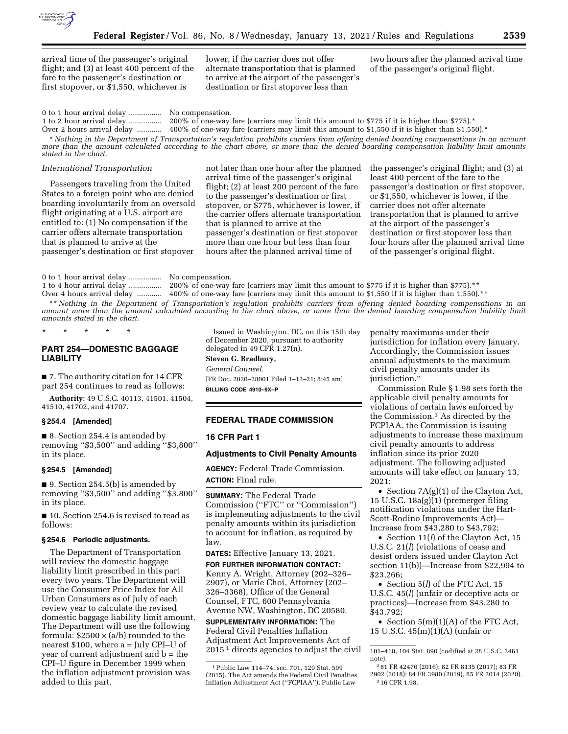

arrival time of the passenger's original flight; and (3) at least 400 percent of the fare to the passenger's destination or first stopover, or \$1,550, whichever is

lower, if the carrier does not offer alternate transportation that is planned to arrive at the airport of the passenger's destination or first stopover less than

two hours after the planned arrival time of the passenger's original flight.

0 to 1 hour arrival delay ................ No compensation. 1 to 2 hour arrival delay ................ 200% of one-way fare (carriers may limit this amount to \$775 if it is higher than \$775).\* Over 2 hours arrival delay ............ 400% of one-way fare (carriers may limit this amount to \$1,550 if it is higher than \$1,550).\* \* *Nothing in the Department of Transportation's regulation prohibits carriers from offering denied boarding compensations in an amount* 

*more than the amount calculated according to the chart above, or more than the denied boarding compensation liability limit amounts stated in the chart.* 

## *International Transportation*

Passengers traveling from the United States to a foreign point who are denied boarding involuntarily from an oversold flight originating at a U.S. airport are entitled to: (1) No compensation if the carrier offers alternate transportation that is planned to arrive at the passenger's destination or first stopover

not later than one hour after the planned arrival time of the passenger's original flight; (2) at least 200 percent of the fare to the passenger's destination or first stopover, or \$775, whichever is lower, if the carrier offers alternate transportation that is planned to arrive at the passenger's destination or first stopover more than one hour but less than four hours after the planned arrival time of

the passenger's original flight; and (3) at least 400 percent of the fare to the passenger's destination or first stopover, or \$1,550, whichever is lower, if the carrier does not offer alternate transportation that is planned to arrive at the airport of the passenger's destination or first stopover less than four hours after the planned arrival time of the passenger's original flight.

0 to 1 hour arrival delay ................ No compensation.

1 to 4 hour arrival delay ................ 200% of one-way fare (carriers may limit this amount to \$775 if it is higher than \$775).\*\* Over 4 hours arrival delay ............ 400% of one-way fare (carriers may limit this amount to \$1,550 if it is higher than 1,550).\*\*

\*\* *Nothing in the Department of Transportation's regulation prohibits carriers from offering denied boarding compensations in an* amount more than the amount calculated according to the chart above, or more than the denied boarding compensation liability limit *amounts stated in the chart.* 

\* \* \* \* \*

# **PART 254—DOMESTIC BAGGAGE LIABILITY**

■ 7. The authority citation for 14 CFR part 254 continues to read as follows:

**Authority:** 49 U.S.C. 40113, 41501, 41504, 41510, 41702, and 41707.

### **§ 254.4 [Amended]**

■ 8. Section 254.4 is amended by removing ''\$3,500'' and adding ''\$3,800'' in its place.

### **§ 254.5 [Amended]**

■ 9. Section 254.5(b) is amended by removing ''\$3,500'' and adding ''\$3,800'' in its place.

■ 10. Section 254.6 is revised to read as follows:

#### **§ 254.6 Periodic adjustments.**

The Department of Transportation will review the domestic baggage liability limit prescribed in this part every two years. The Department will use the Consumer Price Index for All Urban Consumers as of July of each review year to calculate the revised domestic baggage liability limit amount. The Department will use the following formula:  $$2500 \times (a/b)$  rounded to the nearest \$100, where a = July CPI–U of year of current adjustment and b = the CPI–U figure in December 1999 when the inflation adjustment provision was added to this part.

Issued in Washington, DC, on this 15th day of December 2020, pursuant to authority delegated in 49 CFR 1.27(n).

**Steven G. Bradbury,**  *General Counsel.*  [FR Doc. 2020–28001 Filed 1–12–21; 8:45 am] **BILLING CODE 4910–9X–P** 

### **FEDERAL TRADE COMMISSION**

#### **16 CFR Part 1**

#### **Adjustments to Civil Penalty Amounts**

**AGENCY:** Federal Trade Commission. **ACTION:** Final rule.

**SUMMARY:** The Federal Trade Commission (''FTC'' or ''Commission'') is implementing adjustments to the civil penalty amounts within its jurisdiction to account for inflation, as required by law.

#### **DATES:** Effective January 13, 2021.

**FOR FURTHER INFORMATION CONTACT:**  Kenny A. Wright, Attorney (202–326– 2907), or Marie Choi, Attorney (202– 326–3368), Office of the General Counsel, FTC, 600 Pennsylvania Avenue NW, Washington, DC 20580.

**SUPPLEMENTARY INFORMATION:** The Federal Civil Penalties Inflation Adjustment Act Improvements Act of 2015 1 directs agencies to adjust the civil penalty maximums under their jurisdiction for inflation every January. Accordingly, the Commission issues annual adjustments to the maximum civil penalty amounts under its jurisdiction.2

Commission Rule § 1.98 sets forth the applicable civil penalty amounts for violations of certain laws enforced by the Commission.3 As directed by the FCPIAA, the Commission is issuing adjustments to increase these maximum civil penalty amounts to address inflation since its prior 2020 adjustment. The following adjusted amounts will take effect on January 13, 2021:

• Section 7A(g)(1) of the Clayton Act, 15 U.S.C. 18a(g)(1) (premerger filing notification violations under the Hart-Scott-Rodino Improvements Act)— Increase from \$43,280 to \$43,792;

• Section 11(*l*) of the Clayton Act, 15 U.S.C. 21(*l*) (violations of cease and desist orders issued under Clayton Act section 11(b))—Increase from \$22,994 to \$23,266;

• Section 5(*l*) of the FTC Act, 15 U.S.C. 45(*l*) (unfair or deceptive acts or practices)—Increase from \$43,280 to \$43,792;

• Section  $5(m)(1)(A)$  of the FTC Act, 15 U.S.C. 45(m)(1)(A) (unfair or

<sup>1</sup>Public Law 114–74, sec. 701, 129 Stat. 599 (2015). The Act amends the Federal Civil Penalties Inflation Adjustment Act (''FCPIAA''), Public Law

<sup>101–410, 104</sup> Stat. 890 (codified at 28 U.S.C. 2461 note).

<sup>2</sup> 81 FR 42476 (2016); 82 FR 8135 (2017); 83 FR 2902 (2018); 84 FR 3980 (2019), 85 FR 2014 (2020). 3 16 CFR 1.98.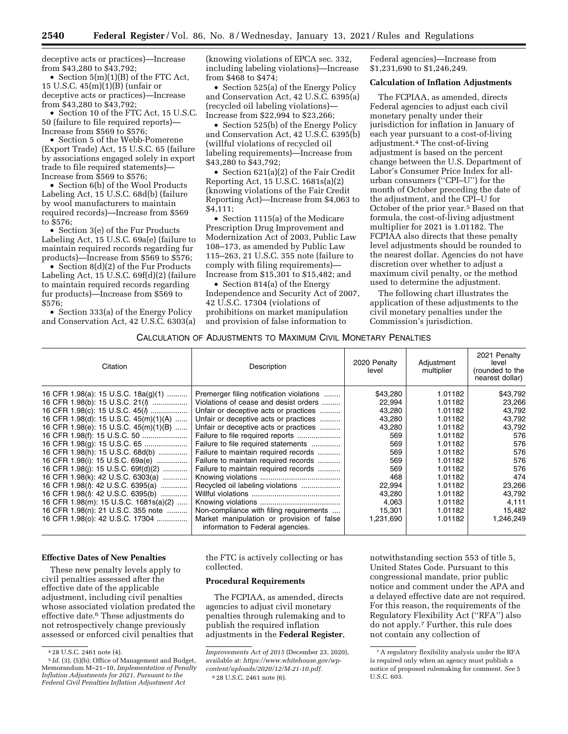deceptive acts or practices)—Increase from \$43,280 to \$43,792;

• Section 5(m)(1)(B) of the FTC Act, 15 U.S.C. 45(m)(1)(B) (unfair or deceptive acts or practices)—Increase from \$43,280 to \$43,792;

• Section 10 of the FTC Act, 15 U.S.C. 50 (failure to file required reports)— Increase from \$569 to \$576;

• Section 5 of the Webb-Pomerene (Export Trade) Act, 15 U.S.C. 65 (failure by associations engaged solely in export trade to file required statements)— Increase from \$569 to \$576;

• Section 6(b) of the Wool Products Labeling Act, 15 U.S.C. 68d(b) (failure by wool manufacturers to maintain required records)—Increase from \$569 to \$576;

• Section 3(e) of the Fur Products Labeling Act, 15 U.S.C. 69a(e) (failure to maintain required records regarding fur products)—Increase from \$569 to \$576;

• Section 8(d)(2) of the Fur Products Labeling Act, 15 U.S.C. 69f(d)(2) (failure to maintain required records regarding fur products)—Increase from \$569 to \$576;

• Section 333(a) of the Energy Policy and Conservation Act, 42 U.S.C. 6303(a) (knowing violations of EPCA sec. 332, including labeling violations)—Increase from \$468 to \$474;

• Section 525(a) of the Energy Policy and Conservation Act, 42 U.S.C. 6395(a) (recycled oil labeling violations)— Increase from \$22,994 to \$23,266;

• Section 525(b) of the Energy Policy and Conservation Act, 42 U.S.C. 6395(b) (willful violations of recycled oil labeling requirements)—Increase from \$43,280 to \$43,792;

• Section 621(a)(2) of the Fair Credit Reporting Act, 15 U.S.C. 1681s(a)(2) (knowing violations of the Fair Credit Reporting Act)—Increase from \$4,063 to \$4,111;

• Section 1115(a) of the Medicare Prescription Drug Improvement and Modernization Act of 2003, Public Law 108–173, as amended by Public Law 115–263, 21 U.S.C. 355 note (failure to comply with filing requirements)— Increase from \$15,301 to \$15,482; and

• Section 814(a) of the Energy Independence and Security Act of 2007, 42 U.S.C. 17304 (violations of prohibitions on market manipulation and provision of false information to

Federal agencies)—Increase from \$1,231,690 to \$1,246,249.

### **Calculation of Inflation Adjustments**

The FCPIAA, as amended, directs Federal agencies to adjust each civil monetary penalty under their jurisdiction for inflation in January of each year pursuant to a cost-of-living adjustment.4 The cost-of-living adjustment is based on the percent change between the U.S. Department of Labor's Consumer Price Index for allurban consumers (''CPI–U'') for the month of October preceding the date of the adjustment, and the CPI–U for October of the prior year.5 Based on that formula, the cost-of-living adjustment multiplier for 2021 is 1.01182. The FCPIAA also directs that these penalty level adjustments should be rounded to the nearest dollar. Agencies do not have discretion over whether to adjust a maximum civil penalty, or the method used to determine the adjustment.

The following chart illustrates the application of these adjustments to the civil monetary penalties under the Commission's jurisdiction.

## CALCULATION OF ADJUSTMENTS TO MAXIMUM CIVIL MONETARY PENALTIES

| Citation                                                                                                                                                                                                                                                                                                                                          | Description                                                                                                                                                                                                                                                                                                                                                                 | 2020 Penalty<br>level                                                               | Adjustment<br>multiplier                                                                                   | 2021 Penalty<br>level<br>(rounded to the<br>nearest dollar)                         |
|---------------------------------------------------------------------------------------------------------------------------------------------------------------------------------------------------------------------------------------------------------------------------------------------------------------------------------------------------|-----------------------------------------------------------------------------------------------------------------------------------------------------------------------------------------------------------------------------------------------------------------------------------------------------------------------------------------------------------------------------|-------------------------------------------------------------------------------------|------------------------------------------------------------------------------------------------------------|-------------------------------------------------------------------------------------|
| 16 CFR 1.98(a): 15 U.S.C. 18a(g)(1)<br>16 CFR 1.98(b): 15 U.S.C. 21(1)<br>16 CFR 1.98(c): 15 U.S.C. 45( $\ell$ )<br>16 CFR 1.98(d): 15 U.S.C. 45(m)(1)(A)<br>16 CFR 1.98(e): 15 U.S.C. 45(m)(1)(B)<br>16 CFR 1.98(g): 15 U.S.C. 65<br>16 CFR 1.98(h): 15 U.S.C. 68d(b)<br>16 CFR 1.98(i): 15 U.S.C. 69a(e)<br>16 CFR 1.98(i): 15 U.S.C. 69f(d)(2) | Premerger filing notification violations<br>Violations of cease and desist orders<br>Unfair or deceptive acts or practices<br>Unfair or deceptive acts or practices<br>Unfair or deceptive acts or practices<br>Failure to file required statements<br>Failure to maintain required records<br>Failure to maintain required records<br>Failure to maintain required records | \$43,280<br>22,994<br>43,280<br>43,280<br>43,280<br>569<br>569<br>569<br>569<br>569 | 1.01182<br>1.01182<br>1.01182<br>1.01182<br>1.01182<br>1.01182<br>1.01182<br>1.01182<br>1.01182<br>1.01182 | \$43,792<br>23,266<br>43,792<br>43,792<br>43,792<br>576<br>576<br>576<br>576<br>576 |
| 16 CFR 1.98(k): 42 U.S.C. 6303(a)<br>16 CFR 1.98( <i>l</i> ): 42 U.S.C. 6395(a)<br>16 CFR 1.98( <i>l</i> ): 42 U.S.C. 6395(b)<br>16 CFR 1.98(m): 15 U.S.C. 1681s(a)(2)<br>16 CFR 1.98(n): 21 U.S.C. 355 note<br>16 CFR 1.98(0): 42 U.S.C. 17304                                                                                                   | Recycled oil labeling violations<br>Non-compliance with filing requirements<br>Market manipulation or provision of false<br>information to Federal agencies.                                                                                                                                                                                                                | 468<br>22,994<br>43,280<br>4,063<br>15,301<br>1,231,690                             | 1.01182<br>1.01182<br>1.01182<br>1.01182<br>1.01182<br>1.01182                                             | 474<br>23,266<br>43,792<br>4,111<br>15,482<br>1,246,249                             |

#### **Effective Dates of New Penalties**

These new penalty levels apply to civil penalties assessed after the effective date of the applicable adjustment, including civil penalties whose associated violation predated the effective date.6 These adjustments do not retrospectively change previously assessed or enforced civil penalties that

the FTC is actively collecting or has collected.

### **Procedural Requirements**

The FCPIAA, as amended, directs agencies to adjust civil monetary penalties through rulemaking and to publish the required inflation adjustments in the **Federal Register**,

notwithstanding section 553 of title 5, United States Code. Pursuant to this congressional mandate, prior public notice and comment under the APA and a delayed effective date are not required. For this reason, the requirements of the Regulatory Flexibility Act (''RFA'') also do not apply.7 Further, this rule does not contain any collection of

<sup>4</sup> 28 U.S.C. 2461 note (4).

<sup>5</sup> *Id.* (3), (5)(b); Office of Management and Budget, Memorandum M–21–10, *Implementation of Penalty Inflation Adjustments for 2021, Pursuant to the Federal Civil Penalties Inflation Adjustment Act* 

*Improvements Act of 2015* (December 23, 2020), available at: *[https://www.whitehouse.gov/wp](https://www.whitehouse.gov/wp-content/uploads/2020/12/M-21-10.pdf)[content/uploads/2020/12/M-21-10.pdf.](https://www.whitehouse.gov/wp-content/uploads/2020/12/M-21-10.pdf)*  6 28 U.S.C. 2461 note (6).

<sup>7</sup>A regulatory flexibility analysis under the RFA is required only when an agency must publish a notice of proposed rulemaking for comment. *See* 5 U.S.C. 603.